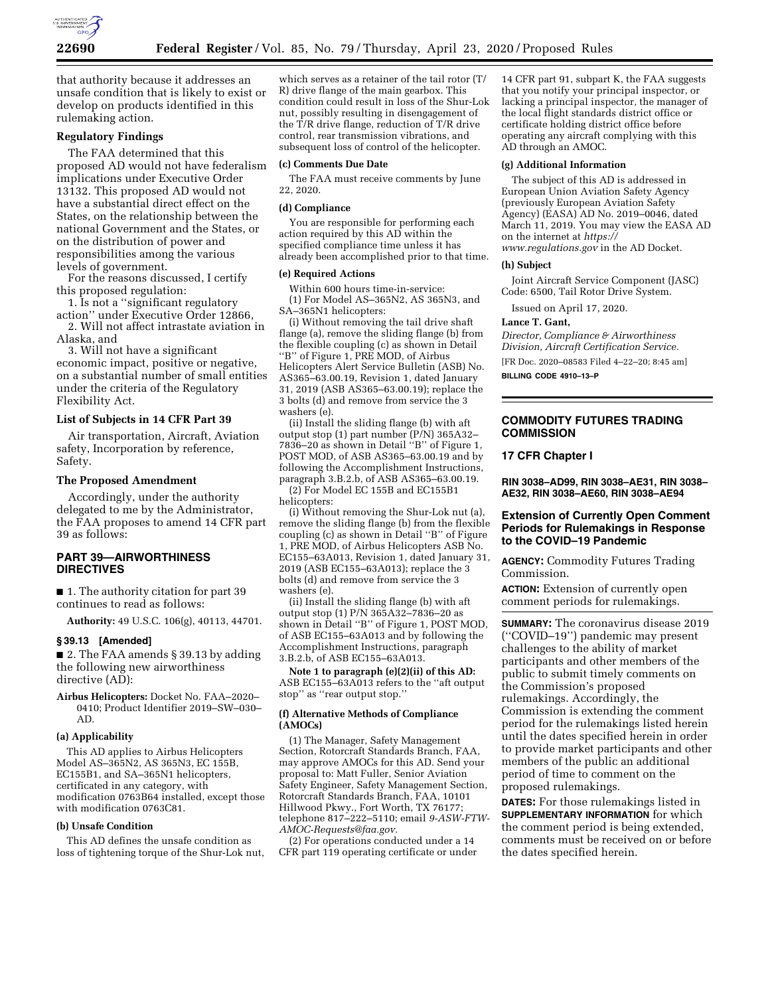

that authority because it addresses an unsafe condition that is likely to exist or develop on products identified in this rulemaking action.

## **Regulatory Findings**

The FAA determined that this proposed AD would not have federalism implications under Executive Order 13132. This proposed AD would not have a substantial direct effect on the States, on the relationship between the national Government and the States, or on the distribution of power and responsibilities among the various levels of government.

For the reasons discussed, I certify this proposed regulation:

1. Is not a ''significant regulatory action'' under Executive Order 12866,

2. Will not affect intrastate aviation in Alaska, and

3. Will not have a significant economic impact, positive or negative, on a substantial number of small entities under the criteria of the Regulatory Flexibility Act.

## **List of Subjects in 14 CFR Part 39**

Air transportation, Aircraft, Aviation safety, Incorporation by reference, Safety.

#### **The Proposed Amendment**

Accordingly, under the authority delegated to me by the Administrator, the FAA proposes to amend 14 CFR part 39 as follows:

## **PART 39—AIRWORTHINESS DIRECTIVES**

■ 1. The authority citation for part 39 continues to read as follows:

**Authority:** 49 U.S.C. 106(g), 40113, 44701.

# **§ 39.13 [Amended]**

■ 2. The FAA amends § 39.13 by adding the following new airworthiness directive (AD):

**Airbus Helicopters:** Docket No. FAA–2020– 0410; Product Identifier 2019–SW–030– AD.

#### **(a) Applicability**

This AD applies to Airbus Helicopters Model AS–365N2, AS 365N3, EC 155B, EC155B1, and SA–365N1 helicopters, certificated in any category, with modification 0763B64 installed, except those with modification 0763C81.

#### **(b) Unsafe Condition**

This AD defines the unsafe condition as loss of tightening torque of the Shur-Lok nut,

which serves as a retainer of the tail rotor (T/ R) drive flange of the main gearbox. This condition could result in loss of the Shur-Lok nut, possibly resulting in disengagement of the T/R drive flange, reduction of T/R drive control, rear transmission vibrations, and subsequent loss of control of the helicopter.

## **(c) Comments Due Date**

The FAA must receive comments by June 22, 2020.

#### **(d) Compliance**

You are responsible for performing each action required by this AD within the specified compliance time unless it has already been accomplished prior to that time.

#### **(e) Required Actions**

Within 600 hours time-in-service: (1) For Model AS–365N2, AS 365N3, and SA–365N1 helicopters:

(i) Without removing the tail drive shaft flange (a), remove the sliding flange (b) from the flexible coupling (c) as shown in Detail ''B'' of Figure 1, PRE MOD, of Airbus Helicopters Alert Service Bulletin (ASB) No. AS365–63.00.19, Revision 1, dated January 31, 2019 (ASB AS365–63.00.19); replace the 3 bolts (d) and remove from service the 3 washers (e).

(ii) Install the sliding flange (b) with aft output stop (1) part number (P/N) 365A32– 7836–20 as shown in Detail ''B'' of Figure 1, POST MOD, of ASB AS365–63.00.19 and by following the Accomplishment Instructions, paragraph 3.B.2.b, of ASB AS365–63.00.19.

(2) For Model EC 155B and EC155B1 helicopters:

(i) Without removing the Shur-Lok nut (a), remove the sliding flange (b) from the flexible coupling (c) as shown in Detail ''B'' of Figure 1, PRE MOD, of Airbus Helicopters ASB No. EC155–63A013, Revision 1, dated January 31, 2019 (ASB EC155–63A013); replace the 3 bolts (d) and remove from service the 3 washers (e).

(ii) Install the sliding flange (b) with aft output stop (1) P/N 365A32–7836–20 as shown in Detail ''B'' of Figure 1, POST MOD, of ASB EC155–63A013 and by following the Accomplishment Instructions, paragraph 3.B.2.b, of ASB EC155–63A013.

**Note 1 to paragraph (e)(2)(ii) of this AD:**  ASB EC155–63A013 refers to the ''aft output stop'' as ''rear output stop.''

#### **(f) Alternative Methods of Compliance (AMOCs)**

(1) The Manager, Safety Management Section, Rotorcraft Standards Branch, FAA, may approve AMOCs for this AD. Send your proposal to: Matt Fuller, Senior Aviation Safety Engineer, Safety Management Section, Rotorcraft Standards Branch, FAA, 10101 Hillwood Pkwy., Fort Worth, TX 76177; telephone 817–222–5110; email *[9-ASW-FTW-](mailto:9-ASW-FTW-AMOC-Requests@faa.gov)[AMOC-Requests@faa.gov.](mailto:9-ASW-FTW-AMOC-Requests@faa.gov)* 

(2) For operations conducted under a 14 CFR part 119 operating certificate or under

14 CFR part 91, subpart K, the FAA suggests that you notify your principal inspector, or lacking a principal inspector, the manager of the local flight standards district office or certificate holding district office before operating any aircraft complying with this AD through an AMOC.

#### **(g) Additional Information**

The subject of this AD is addressed in European Union Aviation Safety Agency (previously European Aviation Safety Agency) (EASA) AD No. 2019–0046, dated March 11, 2019. You may view the EASA AD on the internet at *[https://](https://www.regulations.gov) [www.regulations.gov](https://www.regulations.gov)* in the AD Docket.

## **(h) Subject**

Joint Aircraft Service Component (JASC) Code: 6500, Tail Rotor Drive System.

Issued on April 17, 2020.

#### **Lance T. Gant,**

*Director, Compliance & Airworthiness Division, Aircraft Certification Service.*  [FR Doc. 2020–08583 Filed 4–22–20; 8:45 am] **BILLING CODE 4910–13–P** 

# **COMMODITY FUTURES TRADING COMMISSION**

#### **17 CFR Chapter I**

**RIN 3038–AD99, RIN 3038–AE31, RIN 3038– AE32, RIN 3038–AE60, RIN 3038–AE94** 

## **Extension of Currently Open Comment Periods for Rulemakings in Response to the COVID–19 Pandemic**

**AGENCY:** Commodity Futures Trading Commission.

**ACTION:** Extension of currently open comment periods for rulemakings.

**SUMMARY:** The coronavirus disease 2019 (''COVID–19'') pandemic may present challenges to the ability of market participants and other members of the public to submit timely comments on the Commission's proposed rulemakings. Accordingly, the Commission is extending the comment period for the rulemakings listed herein until the dates specified herein in order to provide market participants and other members of the public an additional period of time to comment on the proposed rulemakings.

**DATES:** For those rulemakings listed in **SUPPLEMENTARY INFORMATION** for which the comment period is being extended, comments must be received on or before the dates specified herein.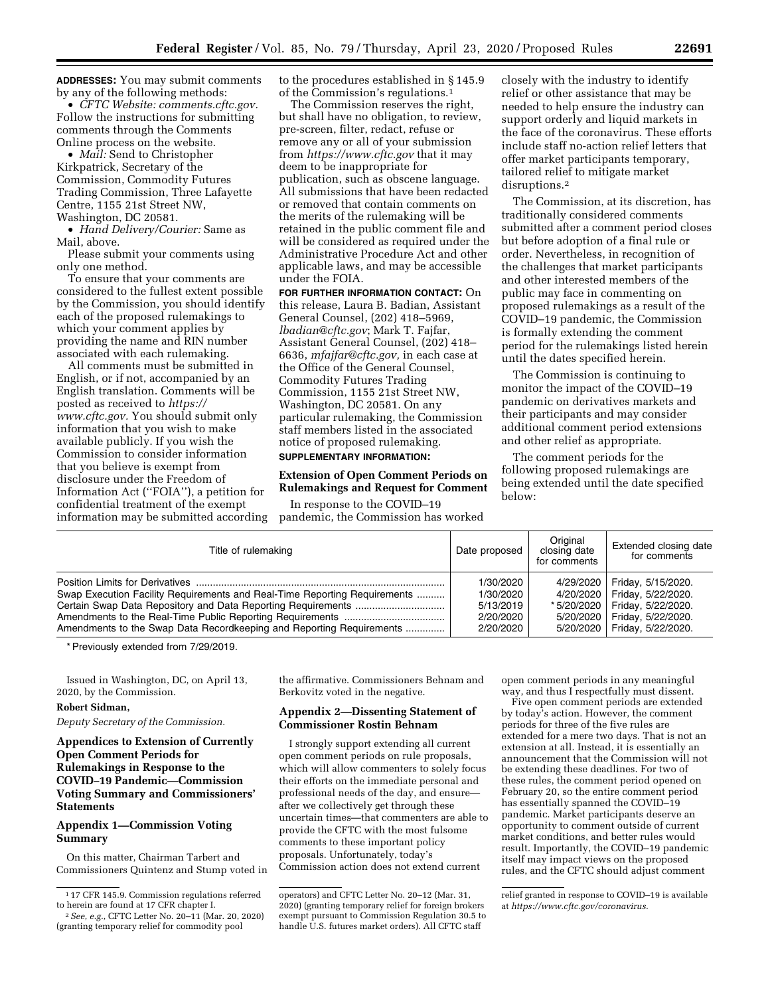**ADDRESSES:** You may submit comments by any of the following methods:

• *CFTC Website: comments.cftc.gov.*  Follow the instructions for submitting comments through the Comments Online process on the website.

• *Mail:* Send to Christopher Kirkpatrick, Secretary of the Commission, Commodity Futures Trading Commission, Three Lafayette Centre, 1155 21st Street NW, Washington, DC 20581.

• *Hand Delivery/Courier:* Same as Mail, above.

Please submit your comments using only one method.

To ensure that your comments are considered to the fullest extent possible by the Commission, you should identify each of the proposed rulemakings to which your comment applies by providing the name and RIN number associated with each rulemaking.

All comments must be submitted in English, or if not, accompanied by an English translation. Comments will be posted as received to *[https://](https://www.cftc.gov) [www.cftc.gov.](https://www.cftc.gov)* You should submit only information that you wish to make available publicly. If you wish the Commission to consider information that you believe is exempt from disclosure under the Freedom of Information Act (''FOIA''), a petition for confidential treatment of the exempt information may be submitted according to the procedures established in § 145.9 of the Commission's regulations.1

The Commission reserves the right, but shall have no obligation, to review, pre-screen, filter, redact, refuse or remove any or all of your submission from *<https://www.cftc.gov>* that it may deem to be inappropriate for publication, such as obscene language. All submissions that have been redacted or removed that contain comments on the merits of the rulemaking will be retained in the public comment file and will be considered as required under the Administrative Procedure Act and other applicable laws, and may be accessible under the FOIA.

**FOR FURTHER INFORMATION CONTACT:** On this release, Laura B. Badian, Assistant General Counsel, (202) 418–5969, *[lbadian@cftc.gov](mailto:lbadian@cftc.gov)*; Mark T. Fajfar, Assistant General Counsel, (202) 418– 6636, *[mfajfar@cftc.gov,](mailto:mfajfar@cftc.gov)* in each case at the Office of the General Counsel, Commodity Futures Trading Commission, 1155 21st Street NW, Washington, DC 20581. On any particular rulemaking, the Commission staff members listed in the associated notice of proposed rulemaking. **SUPPLEMENTARY INFORMATION:** 

## **Extension of Open Comment Periods on Rulemakings and Request for Comment**

In response to the COVID–19 pandemic, the Commission has worked

closely with the industry to identify relief or other assistance that may be needed to help ensure the industry can support orderly and liquid markets in the face of the coronavirus. These efforts include staff no-action relief letters that offer market participants temporary, tailored relief to mitigate market disruptions.2

The Commission, at its discretion, has traditionally considered comments submitted after a comment period closes but before adoption of a final rule or order. Nevertheless, in recognition of the challenges that market participants and other interested members of the public may face in commenting on proposed rulemakings as a result of the COVID–19 pandemic, the Commission is formally extending the comment period for the rulemakings listed herein until the dates specified herein.

The Commission is continuing to monitor the impact of the COVID–19 pandemic on derivatives markets and their participants and may consider additional comment period extensions and other relief as appropriate.

The comment periods for the following proposed rulemakings are being extended until the date specified below:

| Title of rulemaking                                                       | Date proposed | Original<br>closing date<br>for comments | Extended closing date<br>for comments |
|---------------------------------------------------------------------------|---------------|------------------------------------------|---------------------------------------|
|                                                                           | 1/30/2020     | 4/29/2020                                | Friday, 5/15/2020.                    |
| Swap Execution Facility Requirements and Real-Time Reporting Requirements | 1/30/2020     |                                          | 4/20/2020   Friday, 5/22/2020.        |
|                                                                           | 5/13/2019     |                                          | *5/20/2020   Friday, 5/22/2020.       |
|                                                                           | 2/20/2020     |                                          | 5/20/2020   Friday, 5/22/2020.        |
| Amendments to the Swap Data Recordkeeping and Reporting Requirements      | 2/20/2020     |                                          | 5/20/2020   Friday, 5/22/2020.        |

\* Previously extended from 7/29/2019.

Issued in Washington, DC, on April 13, 2020, by the Commission.

# **Robert Sidman,**

*Deputy Secretary of the Commission.* 

**Appendices to Extension of Currently Open Comment Periods for Rulemakings in Response to the COVID–19 Pandemic—Commission Voting Summary and Commissioners' Statements** 

# **Appendix 1—Commission Voting Summary**

On this matter, Chairman Tarbert and Commissioners Quintenz and Stump voted in the affirmative. Commissioners Behnam and Berkovitz voted in the negative.

# **Appendix 2—Dissenting Statement of Commissioner Rostin Behnam**

I strongly support extending all current open comment periods on rule proposals, which will allow commenters to solely focus their efforts on the immediate personal and professional needs of the day, and ensure after we collectively get through these uncertain times—that commenters are able to provide the CFTC with the most fulsome comments to these important policy proposals. Unfortunately, today's Commission action does not extend current

open comment periods in any meaningful way, and thus I respectfully must dissent.

Five open comment periods are extended by today's action. However, the comment periods for three of the five rules are extended for a mere two days. That is not an extension at all. Instead, it is essentially an announcement that the Commission will not be extending these deadlines. For two of these rules, the comment period opened on February 20, so the entire comment period has essentially spanned the COVID–19 pandemic. Market participants deserve an opportunity to comment outside of current market conditions, and better rules would result. Importantly, the COVID–19 pandemic itself may impact views on the proposed rules, and the CFTC should adjust comment

<sup>1</sup> 17 CFR 145.9. Commission regulations referred to herein are found at 17 CFR chapter I.

<sup>2</sup>*See, e.g.,* CFTC Letter No. 20–11 (Mar. 20, 2020) (granting temporary relief for commodity pool

operators) and CFTC Letter No. 20–12 (Mar. 31, 2020) (granting temporary relief for foreign brokers exempt pursuant to Commission Regulation 30.5 to handle U.S. futures market orders). All CFTC staff

relief granted in response to COVID–19 is available at *[https://www.cftc.gov/coronavirus.](https://www.cftc.gov/coronavirus)*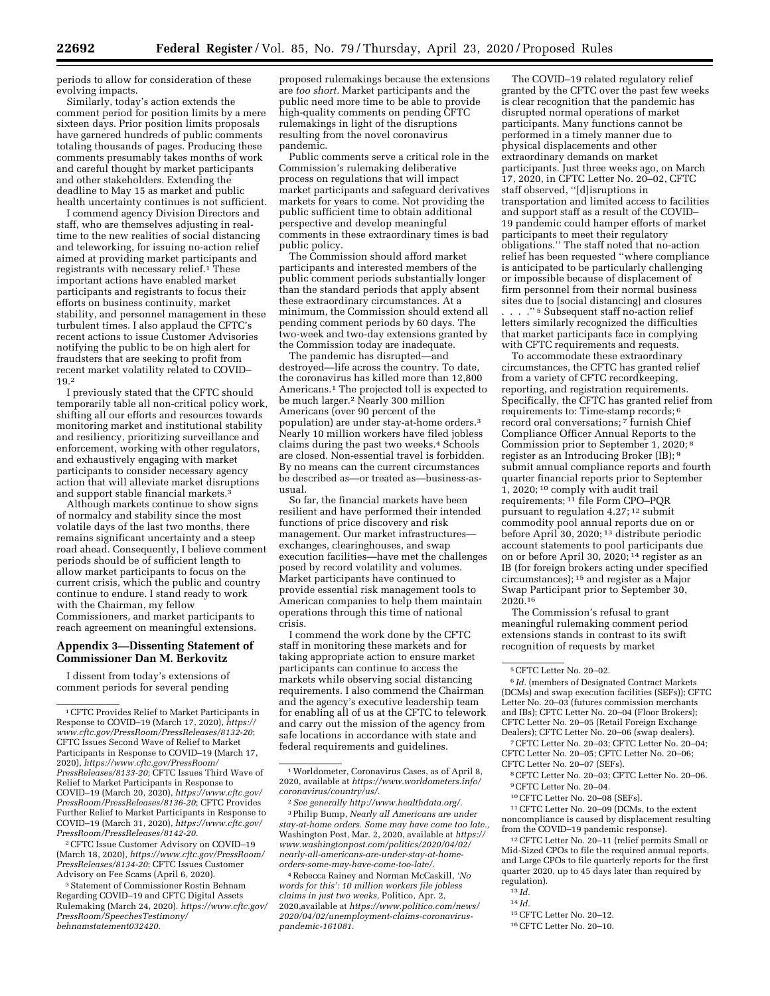periods to allow for consideration of these evolving impacts.

Similarly, today's action extends the comment period for position limits by a mere sixteen days. Prior position limits proposals have garnered hundreds of public comments totaling thousands of pages. Producing these comments presumably takes months of work and careful thought by market participants and other stakeholders. Extending the deadline to May 15 as market and public health uncertainty continues is not sufficient.

I commend agency Division Directors and staff, who are themselves adjusting in realtime to the new realities of social distancing and teleworking, for issuing no-action relief aimed at providing market participants and registrants with necessary relief.1 These important actions have enabled market participants and registrants to focus their efforts on business continuity, market stability, and personnel management in these turbulent times. I also applaud the CFTC's recent actions to issue Customer Advisories notifying the public to be on high alert for fraudsters that are seeking to profit from recent market volatility related to COVID– 19.2

I previously stated that the CFTC should temporarily table all non-critical policy work, shifting all our efforts and resources towards monitoring market and institutional stability and resiliency, prioritizing surveillance and enforcement, working with other regulators, and exhaustively engaging with market participants to consider necessary agency action that will alleviate market disruptions and support stable financial markets.3

Although markets continue to show signs of normalcy and stability since the most volatile days of the last two months, there remains significant uncertainty and a steep road ahead. Consequently, I believe comment periods should be of sufficient length to allow market participants to focus on the current crisis, which the public and country continue to endure. I stand ready to work with the Chairman, my fellow Commissioners, and market participants to reach agreement on meaningful extensions.

#### **Appendix 3—Dissenting Statement of Commissioner Dan M. Berkovitz**

I dissent from today's extensions of comment periods for several pending

2CFTC Issue Customer Advisory on COVID–19 (March 18, 2020), *[https://www.cftc.gov/PressRoom/](https://www.cftc.gov/PressRoom/PressReleases/8134-20) [PressReleases/8134-20](https://www.cftc.gov/PressRoom/PressReleases/8134-20)*; CFTC Issues Customer Advisory on Fee Scams (April 6, 2020).

3Statement of Commissioner Rostin Behnam Regarding COVID–19 and CFTC Digital Assets Rulemaking (March 24, 2020). *[https://www.cftc.gov/](https://www.cftc.gov/PressRoom/SpeechesTestimony/behnamstatement032420)  [PressRoom/SpeechesTestimony/](https://www.cftc.gov/PressRoom/SpeechesTestimony/behnamstatement032420)  [behnamstatement032420.](https://www.cftc.gov/PressRoom/SpeechesTestimony/behnamstatement032420)* 

proposed rulemakings because the extensions are *too short.* Market participants and the public need more time to be able to provide high-quality comments on pending CFTC rulemakings in light of the disruptions resulting from the novel coronavirus pandemic.

Public comments serve a critical role in the Commission's rulemaking deliberative process on regulations that will impact market participants and safeguard derivatives markets for years to come. Not providing the public sufficient time to obtain additional perspective and develop meaningful comments in these extraordinary times is bad public policy.

The Commission should afford market participants and interested members of the public comment periods substantially longer than the standard periods that apply absent these extraordinary circumstances. At a minimum, the Commission should extend all pending comment periods by 60 days. The two-week and two-day extensions granted by the Commission today are inadequate.

The pandemic has disrupted—and destroyed—life across the country. To date, the coronavirus has killed more than 12,800 Americans.1 The projected toll is expected to be much larger.2 Nearly 300 million Americans (over 90 percent of the population) are under stay-at-home orders.3 Nearly 10 million workers have filed jobless claims during the past two weeks.4 Schools are closed. Non-essential travel is forbidden. By no means can the current circumstances be described as—or treated as—business-asusual.

So far, the financial markets have been resilient and have performed their intended functions of price discovery and risk management. Our market infrastructures exchanges, clearinghouses, and swap execution facilities—have met the challenges posed by record volatility and volumes. Market participants have continued to provide essential risk management tools to American companies to help them maintain operations through this time of national crisis.

I commend the work done by the CFTC staff in monitoring these markets and for taking appropriate action to ensure market participants can continue to access the markets while observing social distancing requirements. I also commend the Chairman and the agency's executive leadership team for enabling all of us at the CFTC to telework and carry out the mission of the agency from safe locations in accordance with state and federal requirements and guidelines.

4Rebecca Rainey and Norman McCaskill, *'No words for this': 10 million workers file jobless claims in just two weeks,* Politico, Apr. 2, 2020,available at *[https://www.politico.com/news/](https://www.politico.com/news/2020/04/02/unemployment-claims-coronavirus-pandemic-161081) [2020/04/02/unemployment-claims-coronavirus](https://www.politico.com/news/2020/04/02/unemployment-claims-coronavirus-pandemic-161081)[pandemic-161081.](https://www.politico.com/news/2020/04/02/unemployment-claims-coronavirus-pandemic-161081)* 

The COVID–19 related regulatory relief granted by the CFTC over the past few weeks is clear recognition that the pandemic has disrupted normal operations of market participants. Many functions cannot be performed in a timely manner due to physical displacements and other extraordinary demands on market participants. Just three weeks ago, on March 17, 2020, in CFTC Letter No. 20–02, CFTC staff observed, ''[d]isruptions in transportation and limited access to facilities and support staff as a result of the COVID– 19 pandemic could hamper efforts of market participants to meet their regulatory obligations.'' The staff noted that no-action relief has been requested ''where compliance is anticipated to be particularly challenging or impossible because of displacement of firm personnel from their normal business sites due to [social distancing] and closures . . . .'' 5 Subsequent staff no-action relief letters similarly recognized the difficulties that market participants face in complying with CFTC requirements and requests.

To accommodate these extraordinary circumstances, the CFTC has granted relief from a variety of CFTC recordkeeping, reporting, and registration requirements. Specifically, the CFTC has granted relief from requirements to: Time-stamp records; 6 record oral conversations; 7 furnish Chief Compliance Officer Annual Reports to the Commission prior to September 1, 2020; 8 register as an Introducing Broker (IB); 9 submit annual compliance reports and fourth quarter financial reports prior to September 1, 2020; 10 comply with audit trail requirements; 11 file Form CPO–PQR pursuant to regulation 4.27;<sup>12</sup> submit commodity pool annual reports due on or before April 30, 2020; 13 distribute periodic account statements to pool participants due on or before April 30, 2020; 14 register as an IB (for foreign brokers acting under specified circumstances); 15 and register as a Major Swap Participant prior to September 30, 2020.16

The Commission's refusal to grant meaningful rulemaking comment period extensions stands in contrast to its swift recognition of requests by market

6 *Id.* (members of Designated Contract Markets (DCMs) and swap execution facilities (SEFs)); CFTC Letter No. 20–03 (futures commission merchants and IBs); CFTC Letter No. 20–04 (Floor Brokers); CFTC Letter No. 20–05 (Retail Foreign Exchange Dealers); CFTC Letter No. 20–06 (swap dealers).

CFTC Letter No. 20–07 (SEFs). 8CFTC Letter No. 20–03; CFTC Letter No. 20–06.

10CFTC Letter No. 20–08 (SEFs).

11CFTC Letter No. 20–09 (DCMs, to the extent noncompliance is caused by displacement resulting from the COVID–19 pandemic response).

12CFTC Letter No. 20–11 (relief permits Small or Mid-Sized CPOs to file the required annual reports, and Large CPOs to file quarterly reports for the first quarter 2020, up to 45 days later than required by regulation).

- 13 *Id.*
- 14 *Id.*
- 15CFTC Letter No. 20–12.

<sup>1</sup>CFTC Provides Relief to Market Participants in Response to COVID–19 (March 17, 2020), *[https://](https://www.cftc.gov/PressRoom/PressReleases/8132-20)  [www.cftc.gov/PressRoom/PressReleases/8132-20](https://www.cftc.gov/PressRoom/PressReleases/8132-20)*; CFTC Issues Second Wave of Relief to Market Participants in Response to COVID–19 (March 17, 2020), *[https://www.cftc.gov/PressRoom/](https://www.cftc.gov/PressRoom/PressReleases/8133-20)  [PressReleases/8133-20](https://www.cftc.gov/PressRoom/PressReleases/8133-20)*; CFTC Issues Third Wave of Relief to Market Participants in Response to COVID–19 (March 20, 2020), *[https://www.cftc.gov/](https://www.cftc.gov/PressRoom/PressReleases/8136-20) [PressRoom/PressReleases/8136-20](https://www.cftc.gov/PressRoom/PressReleases/8136-20)*; CFTC Provides Further Relief to Market Participants in Response to COVID–19 (March 31, 2020), *[https://www.cftc.gov/](https://www.cftc.gov/PressRoom/PressReleases/8142-20) [PressRoom/PressReleases/8142-20.](https://www.cftc.gov/PressRoom/PressReleases/8142-20)* 

<sup>1</sup>Worldometer, Coronavirus Cases, as of April 8, 2020, available at *[https://www.worldometers.info/](https://www.worldometers.info/coronavirus/country/us/)  [coronavirus/country/us/.](https://www.worldometers.info/coronavirus/country/us/)* 

<sup>2</sup>*See generally [http://www.healthdata.org/.](http://www.healthdata.org/)* 

<sup>3</sup>Philip Bump, *Nearly all Americans are under stay-at-home orders. Some may have come too late.,*  Washington Post, Mar. 2, 2020, available at *[https://](https://www.washingtonpost.com/politics/2020/04/02/nearly-all-americans-are-under-stay-at-home-orders-some-may-have-come-too-late/)  [www.washingtonpost.com/politics/2020/04/02/](https://www.washingtonpost.com/politics/2020/04/02/nearly-all-americans-are-under-stay-at-home-orders-some-may-have-come-too-late/)  [nearly-all-americans-are-under-stay-at-home](https://www.washingtonpost.com/politics/2020/04/02/nearly-all-americans-are-under-stay-at-home-orders-some-may-have-come-too-late/)[orders-some-may-have-come-too-late/.](https://www.washingtonpost.com/politics/2020/04/02/nearly-all-americans-are-under-stay-at-home-orders-some-may-have-come-too-late/)* 

<sup>5</sup>CFTC Letter No. 20–02.

<sup>7</sup>CFTC Letter No. 20–03; CFTC Letter No. 20–04; CFTC Letter No. 20–05; CFTC Letter No. 20–06;

<sup>9</sup>CFTC Letter No. 20–04.

<sup>16</sup>CFTC Letter No. 20–10.